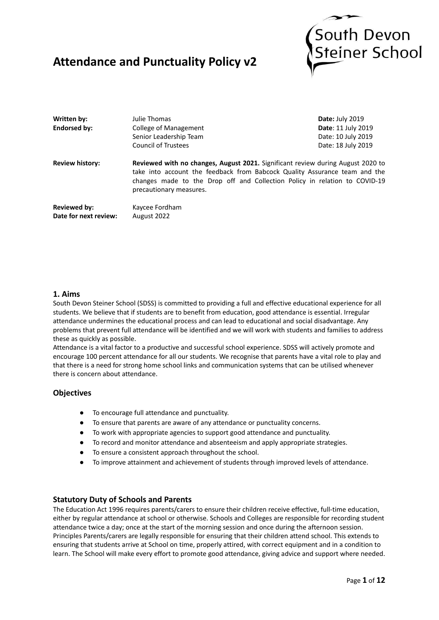# **Attendance and Punctuality Policy v2**



| Written by:                           | Julie Thomas                                                                                                                                                                                                                                                           | Date: July 2019           |
|---------------------------------------|------------------------------------------------------------------------------------------------------------------------------------------------------------------------------------------------------------------------------------------------------------------------|---------------------------|
| <b>Endorsed by:</b>                   | College of Management                                                                                                                                                                                                                                                  | <b>Date: 11 July 2019</b> |
|                                       | Senior Leadership Team                                                                                                                                                                                                                                                 | Date: 10 July 2019        |
|                                       | Council of Trustees                                                                                                                                                                                                                                                    | Date: 18 July 2019        |
| <b>Review history:</b>                | Reviewed with no changes, August 2021. Significant review during August 2020 to<br>take into account the feedback from Babcock Quality Assurance team and the<br>changes made to the Drop off and Collection Policy in relation to COVID-19<br>precautionary measures. |                           |
| Reviewed by:<br>Date for next review: | Kaycee Fordham<br>August 2022                                                                                                                                                                                                                                          |                           |

# **1. Aims**

South Devon Steiner School (SDSS) is committed to providing a full and effective educational experience for all students. We believe that if students are to benefit from education, good attendance is essential. Irregular attendance undermines the educational process and can lead to educational and social disadvantage. Any problems that prevent full attendance will be identified and we will work with students and families to address these as quickly as possible.

Attendance is a vital factor to a productive and successful school experience. SDSS will actively promote and encourage 100 percent attendance for all our students. We recognise that parents have a vital role to play and that there is a need for strong home school links and communication systems that can be utilised whenever there is concern about attendance.

# **Objectives**

- To encourage full attendance and punctuality.
- To ensure that parents are aware of any attendance or punctuality concerns.
- To work with appropriate agencies to support good attendance and punctuality.
- To record and monitor attendance and absenteeism and apply appropriate strategies.
- To ensure a consistent approach throughout the school.
- To improve attainment and achievement of students through improved levels of attendance.

# **Statutory Duty of Schools and Parents**

The Education Act 1996 requires parents/carers to ensure their children receive effective, full-time education, either by regular attendance at school or otherwise. Schools and Colleges are responsible for recording student attendance twice a day; once at the start of the morning session and once during the afternoon session. Principles Parents/carers are legally responsible for ensuring that their children attend school. This extends to ensuring that students arrive at School on time, properly attired, with correct equipment and in a condition to learn. The School will make every effort to promote good attendance, giving advice and support where needed.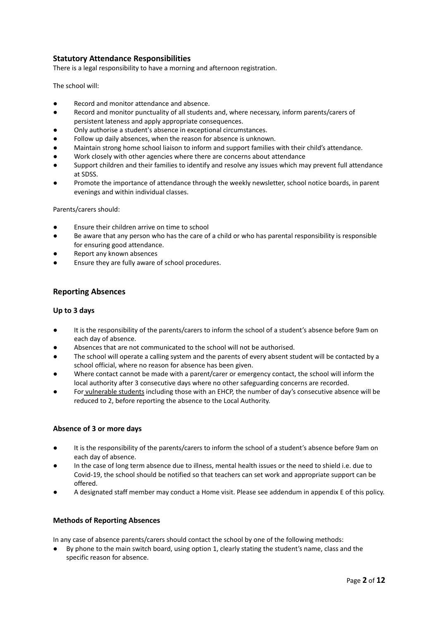# **Statutory Attendance Responsibilities**

There is a legal responsibility to have a morning and afternoon registration.

The school will:

- Record and monitor attendance and absence.
- Record and monitor punctuality of all students and, where necessary, inform parents/carers of persistent lateness and apply appropriate consequences.
- Only authorise a student's absence in exceptional circumstances.
- Follow up daily absences, when the reason for absence is unknown.
- Maintain strong home school liaison to inform and support families with their child's attendance.
- Work closely with other agencies where there are concerns about attendance
- Support children and their families to identify and resolve any issues which may prevent full attendance at SDSS.
- Promote the importance of attendance through the weekly newsletter, school notice boards, in parent evenings and within individual classes.

Parents/carers should:

- Ensure their children arrive on time to school
- Be aware that any person who has the care of a child or who has parental responsibility is responsible for ensuring good attendance.
- Report any known absences
- Ensure they are fully aware of school procedures.

#### **Reporting Absences**

#### **Up to 3 days**

- It is the responsibility of the parents/carers to inform the school of a student's absence before 9am on each day of absence.
- Absences that are not communicated to the school will not be authorised.
- The school will operate a calling system and the parents of every absent student will be contacted by a school official, where no reason for absence has been given.
- Where contact cannot be made with a parent/carer or emergency contact, the school will inform the local authority after 3 consecutive days where no other safeguarding concerns are recorded.
- For vulnerable students including those with an EHCP, the number of day's consecutive absence will be reduced to 2, before reporting the absence to the Local Authority.

#### **Absence of 3 or more days**

- **●** It is the responsibility of the parents/carers to inform the school of a student's absence before 9am on each day of absence.
- In the case of long term absence due to illness, mental health issues or the need to shield i.e. due to Covid-19, the school should be notified so that teachers can set work and appropriate support can be offered.
- A designated staff member may conduct a Home visit. Please see addendum in appendix E of this policy.

#### **Methods of Reporting Absences**

In any case of absence parents/carers should contact the school by one of the following methods:

By phone to the main switch board, using option 1, clearly stating the student's name, class and the specific reason for absence.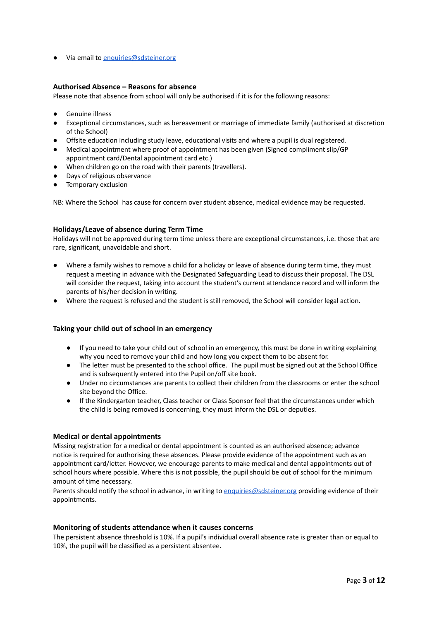● Via email to [enquiries@sdsteiner.org](mailto:enquiries@steiner-south-devon.org)

#### **Authorised Absence – Reasons for absence**

Please note that absence from school will only be authorised if it is for the following reasons:

- Genuine illness
- Exceptional circumstances, such as bereavement or marriage of immediate family (authorised at discretion of the School)
- Offsite education including study leave, educational visits and where a pupil is dual registered.
- Medical appointment where proof of appointment has been given (Signed compliment slip/GP appointment card/Dental appointment card etc.)
- When children go on the road with their parents (travellers).
- Days of religious observance
- Temporary exclusion

NB: Where the School has cause for concern over student absence, medical evidence may be requested.

#### **Holidays/Leave of absence during Term Time**

Holidays will not be approved during term time unless there are exceptional circumstances, i.e. those that are rare, significant, unavoidable and short.

- Where a family wishes to remove a child for a holiday or leave of absence during term time, they must request a meeting in advance with the Designated Safeguarding Lead to discuss their proposal. The DSL will consider the request, taking into account the student's current attendance record and will inform the parents of his/her decision in writing.
- Where the request is refused and the student is still removed, the School will consider legal action.

#### **Taking your child out of school in an emergency**

- If you need to take your child out of school in an emergency, this must be done in writing explaining why you need to remove your child and how long you expect them to be absent for.
- The letter must be presented to the school office. The pupil must be signed out at the School Office and is subsequently entered into the Pupil on/off site book.
- Under no circumstances are parents to collect their children from the classrooms or enter the school site beyond the Office.
- If the Kindergarten teacher, Class teacher or Class Sponsor feel that the circumstances under which the child is being removed is concerning, they must inform the DSL or deputies.

#### **Medical or dental appointments**

Missing registration for a medical or dental appointment is counted as an authorised absence; advance notice is required for authorising these absences. Please provide evidence of the appointment such as an appointment card/letter. However, we encourage parents to make medical and dental appointments out of school hours where possible. Where this is not possible, the pupil should be out of school for the minimum amount of time necessary.

Parents should notify the school in advance, in writing to [enquiries@sdsteiner.org](mailto:enquiries@steiner-south-devon.org) providing evidence of their appointments.

#### **Monitoring of students attendance when it causes concerns**

The persistent absence threshold is 10%. If a pupil's individual overall absence rate is greater than or equal to 10%, the pupil will be classified as a persistent absentee.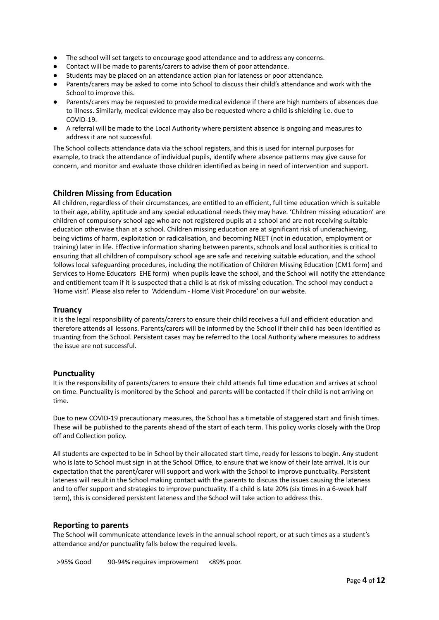- The school will set targets to encourage good attendance and to address any concerns.
- Contact will be made to parents/carers to advise them of poor attendance.
- Students may be placed on an attendance action plan for lateness or poor attendance.
- Parents/carers may be asked to come into School to discuss their child's attendance and work with the School to improve this.
- Parents/carers may be requested to provide medical evidence if there are high numbers of absences due to illness. Similarly, medical evidence may also be requested where a child is shielding i.e. due to COVID-19.
- A referral will be made to the Local Authority where persistent absence is ongoing and measures to address it are not successful.

The School collects attendance data via the school registers, and this is used for internal purposes for example, to track the attendance of individual pupils, identify where absence patterns may give cause for concern, and monitor and evaluate those children identified as being in need of intervention and support.

# **Children Missing from Education**

All children, regardless of their circumstances, are entitled to an efficient, full time education which is suitable to their age, ability, aptitude and any special educational needs they may have. 'Children missing education' are children of compulsory school age who are not registered pupils at a school and are not receiving suitable education otherwise than at a school. Children missing education are at significant risk of underachieving, being victims of harm, exploitation or radicalisation, and becoming NEET (not in education, employment or training) later in life. Effective information sharing between parents, schools and local authorities is critical to ensuring that all children of compulsory school age are safe and receiving suitable education, and the school follows local safeguarding procedures, including the notification of Children Missing Education (CM1 form) and Services to Home Educators EHE form) when pupils leave the school, and the School will notify the attendance and entitlement team if it is suspected that a child is at risk of missing education. The school may conduct a 'Home visit'. Please also refer to 'Addendum - Home Visit Procedure' on our website.

#### **Truancy**

It is the legal responsibility of parents/carers to ensure their child receives a full and efficient education and therefore attends all lessons. Parents/carers will be informed by the School if their child has been identified as truanting from the School. Persistent cases may be referred to the Local Authority where measures to address the issue are not successful.

#### **Punctuality**

It is the responsibility of parents/carers to ensure their child attends full time education and arrives at school on time. Punctuality is monitored by the School and parents will be contacted if their child is not arriving on time.

Due to new COVID-19 precautionary measures, the School has a timetable of staggered start and finish times. These will be published to the parents ahead of the start of each term. This policy works closely with the Drop off and Collection policy.

All students are expected to be in School by their allocated start time, ready for lessons to begin. Any student who is late to School must sign in at the School Office, to ensure that we know of their late arrival. It is our expectation that the parent/carer will support and work with the School to improve punctuality. Persistent lateness will result in the School making contact with the parents to discuss the issues causing the lateness and to offer support and strategies to improve punctuality. If a child is late 20% (six times in a 6-week half term), this is considered persistent lateness and the School will take action to address this.

#### **Reporting to parents**

The School will communicate attendance levels in the annual school report, or at such times as a student's attendance and/or punctuality falls below the required levels.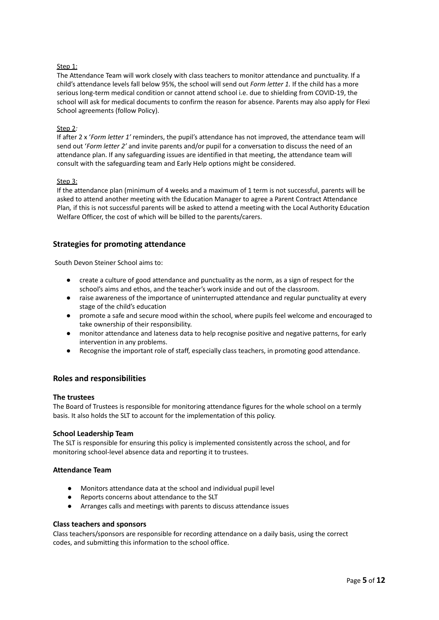#### Step 1:

The Attendance Team will work closely with class teachers to monitor attendance and punctuality. If a child's attendance levels fall below 95%, the school will send out *Form letter 1.* If the child has a more serious long-term medical condition or cannot attend school i.e. due to shielding from COVID-19, the school will ask for medical documents to confirm the reason for absence. Parents may also apply for Flexi School agreements (follow Policy).

#### Step 2*:*

If after 2 x '*Form letter 1'* reminders, the pupil's attendance has not improved, the attendance team will send out '*Form letter 2'* and invite parents and/or pupil for a conversation to discuss the need of an attendance plan. If any safeguarding issues are identified in that meeting, the attendance team will consult with the safeguarding team and Early Help options might be considered.

#### Step 3:

If the attendance plan (minimum of 4 weeks and a maximum of 1 term is not successful, parents will be asked to attend another meeting with the Education Manager to agree a Parent Contract Attendance Plan*,* if this is not successful parents will be asked to attend a meeting with the Local Authority Education Welfare Officer, the cost of which will be billed to the parents/carers.

# **Strategies for promoting attendance**

South Devon Steiner School aims to:

- create a culture of good attendance and punctuality as the norm, as a sign of respect for the school's aims and ethos, and the teacher's work inside and out of the classroom.
- raise awareness of the importance of uninterrupted attendance and regular punctuality at every stage of the child's education
- promote a safe and secure mood within the school, where pupils feel welcome and encouraged to take ownership of their responsibility.
- monitor attendance and lateness data to help recognise positive and negative patterns, for early intervention in any problems.
- Recognise the important role of staff, especially class teachers, in promoting good attendance.

# **Roles and responsibilities**

#### **The trustees**

The Board of Trustees is responsible for monitoring attendance figures for the whole school on a termly basis. It also holds the SLT to account for the implementation of this policy.

#### **School Leadership Team**

The SLT is responsible for ensuring this policy is implemented consistently across the school, and for monitoring school-level absence data and reporting it to trustees.

#### **Attendance Team**

- Monitors attendance data at the school and individual pupil level
- Reports concerns about attendance to the SLT
- Arranges calls and meetings with parents to discuss attendance issues

#### **Class teachers and sponsors**

Class teachers/sponsors are responsible for recording attendance on a daily basis, using the correct codes, and submitting this information to the school office.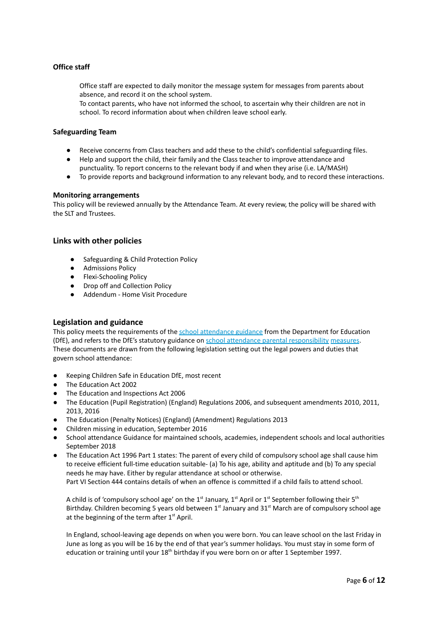# **Office staff**

Office staff are expected to daily monitor the message system for messages from parents about absence, and record it on the school system.

To contact parents, who have not informed the school, to ascertain why their children are not in school. To record information about when children leave school early.

#### **Safeguarding Team**

- Receive concerns from Class teachers and add these to the child's confidential safeguarding files.
- Help and support the child, their family and the Class teacher to improve attendance and punctuality. To report concerns to the relevant body if and when they arise (i.e. LA/MASH)
- To provide reports and background information to any relevant body, and to record these interactions.

#### **Monitoring arrangements**

This policy will be reviewed annually by the Attendance Team. At every review, the policy will be shared with the SLT and Trustees.

#### **Links with other policies**

- Safeguarding & Child Protection Policy
- Admissions Policy
- Flexi-Schooling Policy
- Drop off and Collection Policy
- Addendum Home Visit Procedure

#### **Legislation and guidance**

This policy meets the requirements of the school attendance guidance from the Department for Education (DfE), and refers to the DfE's statutory guidance on school attendance parental responsibility measures. These documents are drawn from the following legislation setting out the legal powers and duties that govern school attendance:

- Keeping Children Safe in Education DfE, most recent
- The Education Act 2002
- The Education and Inspections Act 2006
- The Education (Pupil Registration) (England) Regulations 2006, and subsequent amendments 2010, 2011, 2013, 2016
- The Education (Penalty Notices) (England) (Amendment) Regulations 2013
- Children missing in education, September 2016
- School attendance Guidance for maintained schools, academies, independent schools and local authorities September 2018
- The Education Act 1996 Part 1 states: The parent of every child of compulsory school age shall cause him to receive efficient full-time education suitable- (a) To his age, ability and aptitude and (b) To any special needs he may have. Either by regular attendance at school or otherwise. Part VI Section 444 contains details of when an offence is committed if a child fails to attend school.

A child is of 'compulsory school age' on the 1<sup>st</sup> January, 1<sup>st</sup> April or 1<sup>st</sup> September following their 5<sup>th</sup> Birthday. Children becoming 5 years old between 1<sup>st</sup> January and 31<sup>st</sup> March are of compulsory school age at the beginning of the term after 1<sup>st</sup> April.

In England, school-leaving age depends on when you were born. You can leave school on the last Friday in June as long as you will be 16 by the end of that year's summer holidays. You must stay in some form of education or training until your 18<sup>th</sup> birthday if you were born on or after 1 September 1997.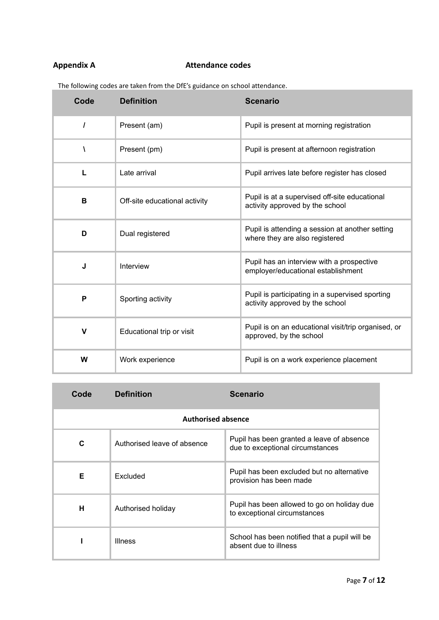# **Appendix A Attendance codes**

The following codes are taken from the DfE's guidance on school attendance.

| Code         | <b>Definition</b>             | <b>Scenario</b>                                                                    |
|--------------|-------------------------------|------------------------------------------------------------------------------------|
| $\prime$     | Present (am)                  | Pupil is present at morning registration                                           |
| ١            | Present (pm)                  | Pupil is present at afternoon registration                                         |
| L            | Late arrival                  | Pupil arrives late before register has closed                                      |
| B            | Off-site educational activity | Pupil is at a supervised off-site educational<br>activity approved by the school   |
| D            | Dual registered               | Pupil is attending a session at another setting<br>where they are also registered  |
| J            | Interview                     | Pupil has an interview with a prospective<br>employer/educational establishment    |
| P            | Sporting activity             | Pupil is participating in a supervised sporting<br>activity approved by the school |
| $\mathsf{V}$ | Educational trip or visit     | Pupil is on an educational visit/trip organised, or<br>approved, by the school     |
| W            | Work experience               | Pupil is on a work experience placement                                            |

| Code                      | <b>Definition</b>           | <b>Scenario</b>                                                               |
|---------------------------|-----------------------------|-------------------------------------------------------------------------------|
| <b>Authorised absence</b> |                             |                                                                               |
| C                         | Authorised leave of absence | Pupil has been granted a leave of absence<br>due to exceptional circumstances |
| Е                         | Excluded                    | Pupil has been excluded but no alternative<br>provision has been made         |
| н                         | Authorised holiday          | Pupil has been allowed to go on holiday due<br>to exceptional circumstances   |
|                           | <b>Illness</b>              | School has been notified that a pupil will be<br>absent due to illness        |

ä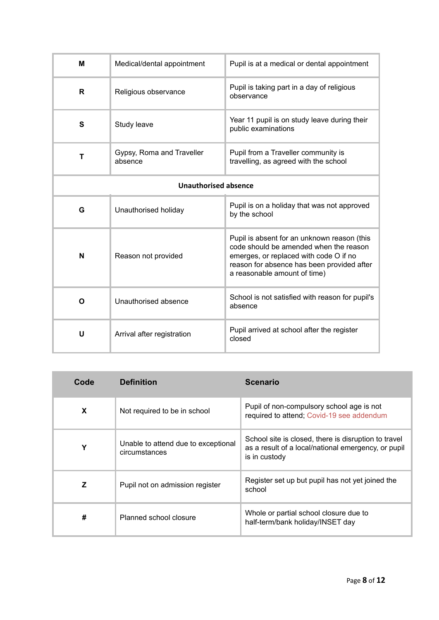| м                           | Medical/dental appointment           | Pupil is at a medical or dental appointment                                                                                                                                                                   |
|-----------------------------|--------------------------------------|---------------------------------------------------------------------------------------------------------------------------------------------------------------------------------------------------------------|
| R                           | Religious observance                 | Pupil is taking part in a day of religious<br>observance                                                                                                                                                      |
| S                           | Study leave                          | Year 11 pupil is on study leave during their<br>public examinations                                                                                                                                           |
| т                           | Gypsy, Roma and Traveller<br>absence | Pupil from a Traveller community is<br>travelling, as agreed with the school                                                                                                                                  |
| <b>Unauthorised absence</b> |                                      |                                                                                                                                                                                                               |
| G                           | Unauthorised holiday                 | Pupil is on a holiday that was not approved<br>by the school                                                                                                                                                  |
| N                           | Reason not provided                  | Pupil is absent for an unknown reason (this<br>code should be amended when the reason<br>emerges, or replaced with code O if no<br>reason for absence has been provided after<br>a reasonable amount of time) |
| O                           | Unauthorised absence                 | School is not satisfied with reason for pupil's<br>absence                                                                                                                                                    |
| U                           | Arrival after registration           | Pupil arrived at school after the register<br>closed                                                                                                                                                          |

| Code | <b>Definition</b>                                    | <b>Scenario</b>                                                                                                              |
|------|------------------------------------------------------|------------------------------------------------------------------------------------------------------------------------------|
| X    | Not required to be in school                         | Pupil of non-compulsory school age is not<br>required to attend: Covid-19 see addendum                                       |
| Y    | Unable to attend due to exceptional<br>circumstances | School site is closed, there is disruption to travel<br>as a result of a local/national emergency, or pupil<br>is in custody |
| Z    | Pupil not on admission register                      | Register set up but pupil has not yet joined the<br>school                                                                   |
| #    | Planned school closure                               | Whole or partial school closure due to<br>half-term/bank holiday/INSET day                                                   |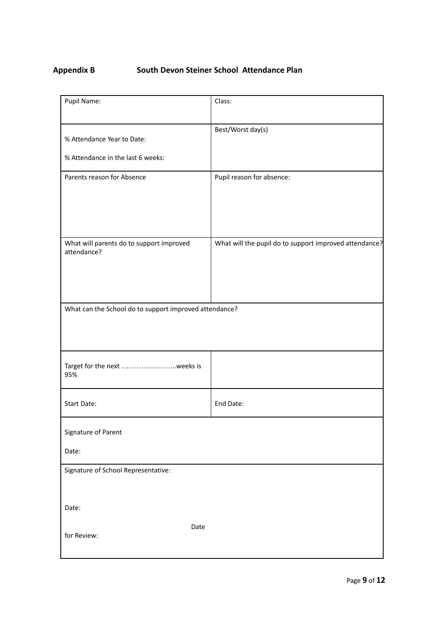# **Appendix B South Devon Steiner School Attendance Plan**

| Pupil Name:                                             | Class:                                                 |
|---------------------------------------------------------|--------------------------------------------------------|
| % Attendance Year to Date:                              | Best/Worst day(s)                                      |
| % Attendance in the last 6 weeks:                       |                                                        |
| Parents reason for Absence                              | Pupil reason for absence:                              |
| What will parents do to support improved<br>attendance? | What will the pupil do to support improved attendance? |
| What can the School do to support improved attendance?  |                                                        |
| Target for the next weeks is<br>95%                     |                                                        |
| <b>Start Date:</b>                                      | End Date:                                              |
| Signature of Parent                                     |                                                        |
| Date:                                                   |                                                        |
| Signature of School Representative:                     |                                                        |
| Date:                                                   |                                                        |
| Date<br>for Review:                                     |                                                        |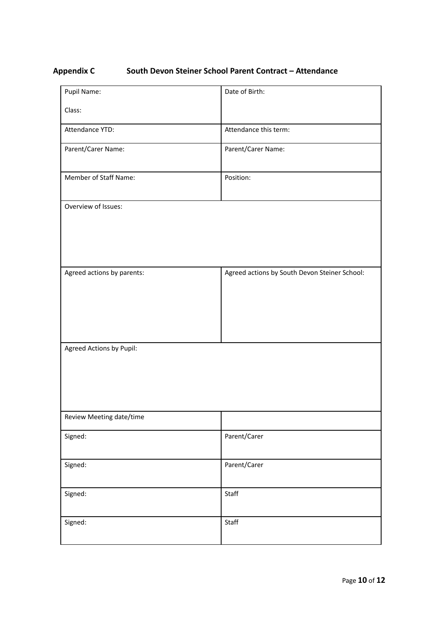# **Appendix C South Devon Steiner School Parent Contract – Attendance**

| Pupil Name:                | Date of Birth:                                |
|----------------------------|-----------------------------------------------|
| Class:                     |                                               |
| Attendance YTD:            | Attendance this term:                         |
| Parent/Carer Name:         | Parent/Carer Name:                            |
| Member of Staff Name:      | Position:                                     |
| Overview of Issues:        |                                               |
| Agreed actions by parents: | Agreed actions by South Devon Steiner School: |
| Agreed Actions by Pupil:   |                                               |
| Review Meeting date/time   |                                               |
| Signed:                    | Parent/Carer                                  |
| Signed:                    | Parent/Carer                                  |
| Signed:                    | Staff                                         |
| Signed:                    | Staff                                         |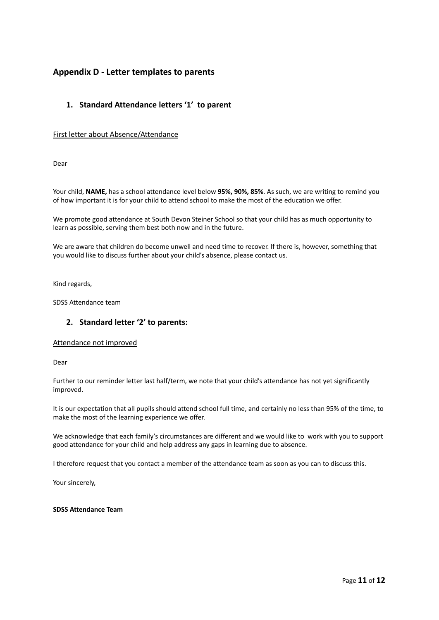# **Appendix D - Letter templates to parents**

# **1. Standard Attendance letters '1' to parent**

### First letter about Absence/Attendance

Dear

Your child, **NAME,** has a school attendance level below **95%, 90%, 85%**. As such, we are writing to remind you of how important it is for your child to attend school to make the most of the education we offer.

We promote good attendance at South Devon Steiner School so that your child has as much opportunity to learn as possible, serving them best both now and in the future.

We are aware that children do become unwell and need time to recover. If there is, however, something that you would like to discuss further about your child's absence, please contact us.

Kind regards,

SDSS Attendance team

# **2. Standard letter '2' to parents:**

#### Attendance not improved

Dear

Further to our reminder letter last half/term, we note that your child's attendance has not yet significantly improved.

It is our expectation that all pupils should attend school full time, and certainly no less than 95% of the time, to make the most of the learning experience we offer.

We acknowledge that each family's circumstances are different and we would like to work with you to support good attendance for your child and help address any gaps in learning due to absence.

I therefore request that you contact a member of the attendance team as soon as you can to discuss this.

Your sincerely,

#### **SDSS Attendance Team**